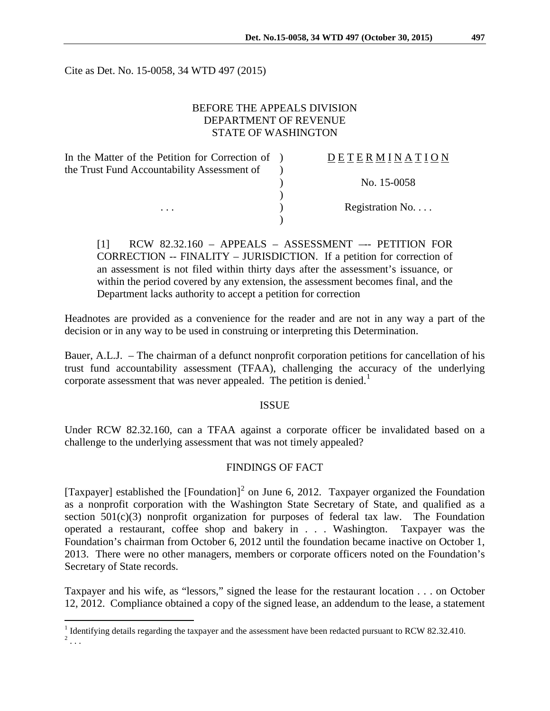Cite as Det. No. 15-0058, 34 WTD 497 (2015)

### BEFORE THE APPEALS DIVISION DEPARTMENT OF REVENUE STATE OF WASHINGTON

In the Matter of the Petition for Correction of ) the Trust Fund Accountability Assessment of  $\lambda$ 

### D E T E R M I N A T I O N

) No. 15-0058

... Registration No....

[1] RCW 82.32.160 – APPEALS – ASSESSMENT –-- PETITION FOR CORRECTION -- FINALITY – JURISDICTION. If a petition for correction of an assessment is not filed within thirty days after the assessment's issuance, or within the period covered by any extension, the assessment becomes final, and the Department lacks authority to accept a petition for correction

)

)

Headnotes are provided as a convenience for the reader and are not in any way a part of the decision or in any way to be used in construing or interpreting this Determination.

Bauer, A.L.J. – The chairman of a defunct nonprofit corporation petitions for cancellation of his trust fund accountability assessment (TFAA), challenging the accuracy of the underlying corporate assessment that was never appealed. The petition is denied.<sup>[1](#page-0-0)</sup>

#### ISSUE

Under RCW 82.32.160, can a TFAA against a corporate officer be invalidated based on a challenge to the underlying assessment that was not timely appealed?

### FINDINGS OF FACT

[Taxpayer] established the [Foundation]<sup>[2](#page-0-1)</sup> on June 6, 2012. Taxpayer organized the Foundation as a nonprofit corporation with the Washington State Secretary of State, and qualified as a section  $501(c)(3)$  nonprofit organization for purposes of federal tax law. The Foundation operated a restaurant, coffee shop and bakery in . . . Washington. Taxpayer was the Foundation's chairman from October 6, 2012 until the foundation became inactive on October 1, 2013. There were no other managers, members or corporate officers noted on the Foundation's Secretary of State records.

Taxpayer and his wife, as "lessors," signed the lease for the restaurant location . . . on October 12, 2012. Compliance obtained a copy of the signed lease, an addendum to the lease, a statement

<span id="page-0-1"></span><span id="page-0-0"></span><sup>&</sup>lt;sup>1</sup> Identifying details regarding the taxpayer and the assessment have been redacted pursuant to RCW 82.32.410.  $2 \ldots$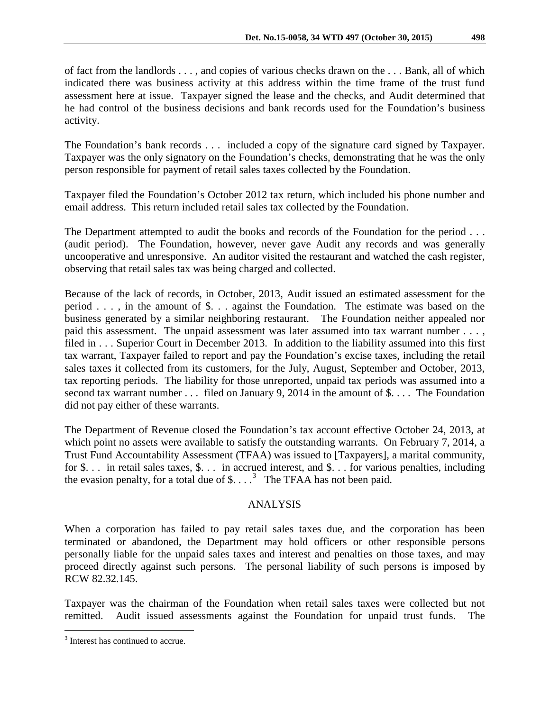of fact from the landlords . . . , and copies of various checks drawn on the . . . Bank, all of which indicated there was business activity at this address within the time frame of the trust fund assessment here at issue. Taxpayer signed the lease and the checks, and Audit determined that he had control of the business decisions and bank records used for the Foundation's business activity.

The Foundation's bank records . . . included a copy of the signature card signed by Taxpayer. Taxpayer was the only signatory on the Foundation's checks, demonstrating that he was the only person responsible for payment of retail sales taxes collected by the Foundation.

Taxpayer filed the Foundation's October 2012 tax return, which included his phone number and email address. This return included retail sales tax collected by the Foundation.

The Department attempted to audit the books and records of the Foundation for the period . . . (audit period). The Foundation, however, never gave Audit any records and was generally uncooperative and unresponsive. An auditor visited the restaurant and watched the cash register, observing that retail sales tax was being charged and collected.

Because of the lack of records, in October, 2013, Audit issued an estimated assessment for the period . . . , in the amount of \$. . . against the Foundation. The estimate was based on the business generated by a similar neighboring restaurant. The Foundation neither appealed nor paid this assessment. The unpaid assessment was later assumed into tax warrant number . . . , filed in . . . Superior Court in December 2013. In addition to the liability assumed into this first tax warrant, Taxpayer failed to report and pay the Foundation's excise taxes, including the retail sales taxes it collected from its customers, for the July, August, September and October, 2013, tax reporting periods. The liability for those unreported, unpaid tax periods was assumed into a second tax warrant number . . . filed on January 9, 2014 in the amount of \$. . . . The Foundation did not pay either of these warrants.

The Department of Revenue closed the Foundation's tax account effective October 24, 2013, at which point no assets were available to satisfy the outstanding warrants. On February 7, 2014, a Trust Fund Accountability Assessment (TFAA) was issued to [Taxpayers], a marital community, for \$. . . in retail sales taxes, \$. . . in accrued interest, and \$. . . for various penalties, including the evasion penalty, for a total due of  $\$\dots$ <sup>[3](#page-1-0)</sup> The TFAA has not been paid.

# ANALYSIS

When a corporation has failed to pay retail sales taxes due, and the corporation has been terminated or abandoned, the Department may hold officers or other responsible persons personally liable for the unpaid sales taxes and interest and penalties on those taxes, and may proceed directly against such persons. The personal liability of such persons is imposed by RCW 82.32.145.

Taxpayer was the chairman of the Foundation when retail sales taxes were collected but not remitted. Audit issued assessments against the Foundation for unpaid trust funds. The

<span id="page-1-0"></span><sup>&</sup>lt;sup>3</sup> Interest has continued to accrue.